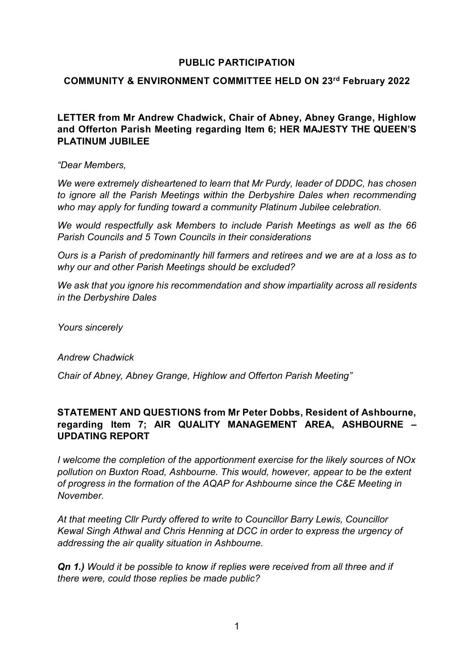### **PUBLIC PARTICIPATION**

## **COMMUNITY & ENVIRONMENT COMMITTEE HELD ON 23rd February 2022**

## **LETTER from Mr Andrew Chadwick, Chair of Abney, Abney Grange, Highlow and Offerton Parish Meeting regarding Item 6; HER MAJESTY THE QUEEN'S PLATINUM JUBILEE**

#### *"Dear Members,*

*We were extremely disheartened to learn that Mr Purdy, leader of DDDC, has chosen to ignore all the Parish Meetings within the Derbyshire Dales when recommending who may apply for funding toward a community Platinum Jubilee celebration.*

*We would respectfully ask Members to include Parish Meetings as well as the 66 Parish Councils and 5 Town Councils in their considerations*

*Ours is a Parish of predominantly hill farmers and retirees and we are at a loss as to why our and other Parish Meetings should be excluded?*

*We ask that you ignore his recommendation and show impartiality across all residents in the Derbyshire Dales*

*Yours sincerely*

### *Andrew Chadwick*

*Chair of Abney, Abney Grange, Highlow and Offerton Parish Meeting"*

## **STATEMENT AND QUESTIONS from Mr Peter Dobbs, Resident of Ashbourne, regarding Item 7; AIR QUALITY MANAGEMENT AREA, ASHBOURNE – UPDATING REPORT**

*I welcome the completion of the apportionment exercise for the likely sources of NOx pollution on Buxton Road, Ashbourne. This would, however, appear to be the extent of progress in the formation of the AQAP for Ashbourne since the C&E Meeting in November.*

*At that meeting Cllr Purdy offered to write to Councillor Barry Lewis, Councillor Kewal Singh Athwal and Chris Henning at DCC in order to express the urgency of addressing the air quality situation in Ashbourne.* 

*Qn 1.) Would it be possible to know if replies were received from all three and if there were, could those replies be made public?*